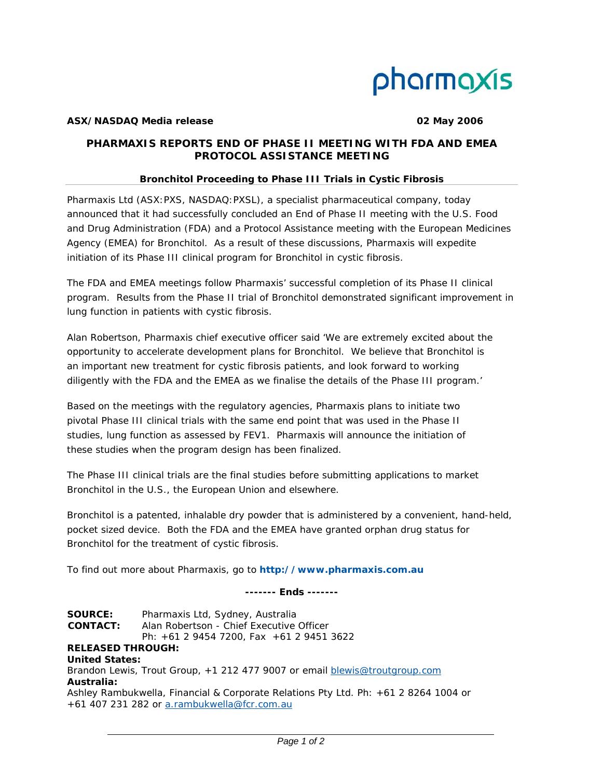

### **ASX/NASDAQ Media release 02 May 2006**

# *PHARMAXIS REPORTS END OF PHASE II MEETING WITH FDA AND EMEA PROTOCOL ASSISTANCE MEETING*

### *Bronchitol Proceeding to Phase III Trials in Cystic Fibrosis*

Pharmaxis Ltd (ASX:PXS, NASDAQ:PXSL), a specialist pharmaceutical company, today announced that it had successfully concluded an End of Phase II meeting with the U.S. Food and Drug Administration (FDA) and a Protocol Assistance meeting with the European Medicines Agency (EMEA) for Bronchitol. As a result of these discussions, Pharmaxis will expedite initiation of its Phase III clinical program for Bronchitol in cystic fibrosis.

The FDA and EMEA meetings follow Pharmaxis' successful completion of its Phase II clinical program. Results from the Phase II trial of Bronchitol demonstrated significant improvement in lung function in patients with cystic fibrosis.

Alan Robertson, Pharmaxis chief executive officer said 'We are extremely excited about the opportunity to accelerate development plans for Bronchitol. We believe that Bronchitol is an important new treatment for cystic fibrosis patients, and look forward to working diligently with the FDA and the EMEA as we finalise the details of the Phase III program.'

Based on the meetings with the regulatory agencies, Pharmaxis plans to initiate two pivotal Phase III clinical trials with the same end point that was used in the Phase II studies, lung function as assessed by FEV1. Pharmaxis will announce the initiation of these studies when the program design has been finalized.

The Phase III clinical trials are the final studies before submitting applications to market Bronchitol in the U.S., the European Union and elsewhere.

Bronchitol is a patented, inhalable dry powder that is administered by a convenient, hand-held, pocket sized device. Both the FDA and the EMEA have granted orphan drug status for Bronchitol for the treatment of cystic fibrosis.

To find out more about Pharmaxis, go to **http://www.pharmaxis.com.au**

*------- Ends -------* 

**SOURCE:** Pharmaxis Ltd, Sydney, Australia **CONTACT:** Alan Robertson - Chief Executive Officer Ph: +61 2 9454 7200, Fax +61 2 9451 3622 **RELEASED THROUGH: United States:**  Brandon Lewis, Trout Group, +1 212 477 9007 or email **blewis@troutgroup.com Australia:**  Ashley Rambukwella, Financial & Corporate Relations Pty Ltd. Ph: +61 2 8264 1004 or +61 407 231 282 or a.rambukwella@fcr.com.au